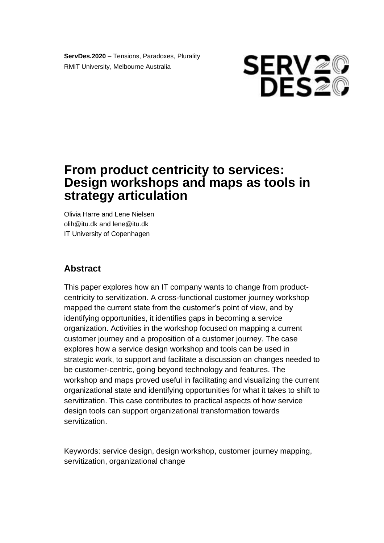**ServDes.2020** – Tensions, Paradoxes, Plurality RMIT University, Melbourne Australia



# **From product centricity to services: Design workshops and maps as tools in strategy articulation**

 Olivia Harre and Lene Nielsen olih@itu.dk and lene@itu.dk IT University of Copenhagen

# **Abstract**

 This paper explores how an IT company wants to change from product- mapped the current state from the customer's point of view, and by identifying opportunities, it identifies gaps in becoming a service organization. Activities in the workshop focused on mapping a current customer journey and a proposition of a customer journey. The case explores how a service design workshop and tools can be used in strategic work, to support and facilitate a discussion on changes needed to be customer-centric, going beyond technology and features. The workshop and maps proved useful in facilitating and visualizing the current organizational state and identifying opportunities for what it takes to shift to design tools can support organizational transformation towards centricity to servitization. A cross-functional customer journey workshop servitization. This case contributes to practical aspects of how service servitization.

 Keywords: service design, design workshop, customer journey mapping, servitization, organizational change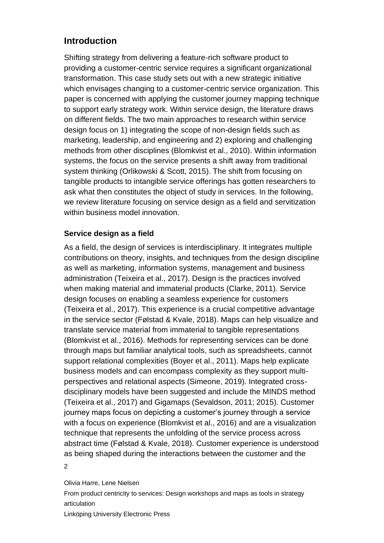# **Introduction**

 Shifting strategy from delivering a feature-rich software product to providing a customer-centric service requires a significant organizational transformation. This case study sets out with a new strategic initiative which envisages changing to a customer-centric service organization. This paper is concerned with applying the customer journey mapping technique to support early strategy work. Within service design, the literature draws on different fields. The two main approaches to research within service design focus on 1) integrating the scope of non-design fields such as marketing, leadership, and engineering and 2) exploring and challenging methods from other disciplines (Blomkvist et al., 2010). Within information systems, the focus on the service presents a shift away from traditional system thinking (Orlikowski & Scott, 2015). The shift from focusing on tangible products to intangible service offerings has gotten researchers to ask what then constitutes the object of study in services. In the following, we review literature focusing on service design as a field and servitization within business model innovation.

## **Service design as a field**

 As a field, the design of services is interdisciplinary. It integrates multiple contributions on theory, insights, and techniques from the design discipline as well as marketing, information systems, management and business administration (Teixeira et al., 2017). Design is the practices involved when making material and immaterial products (Clarke, 2011). Service design focuses on enabling a seamless experience for customers (Teixeira et al., 2017). This experience is a crucial competitive advantage in the service sector (Følstad & Kvale, 2018). Maps can help visualize and translate service material from immaterial to tangible representations (Blomkvist et al., 2016). Methods for representing services can be done support relational complexities (Boyer et al., 2011). Maps help explicate business models and can encompass complexity as they support multi- perspectives and relational aspects (Simeone, 2019). Integrated cross- disciplinary models have been suggested and include the MINDS method (Teixeira et al., 2017) and Gigamaps (Sevaldson, 2011; 2015). Customer journey maps focus on depicting a customer's journey through a service with a focus on experience (Blomkvist et al., 2016) and are a visualization technique that represents the unfolding of the service process across abstract time (Følstad & Kvale, 2018). Customer experience is understood as being shaped during the interactions between the customer and the through maps but familiar analytical tools, such as spreadsheets, cannot 2

#### Olivia Harre, Lene Nielsen

From product centricity to services: Design workshops and maps as tools in strategy articulation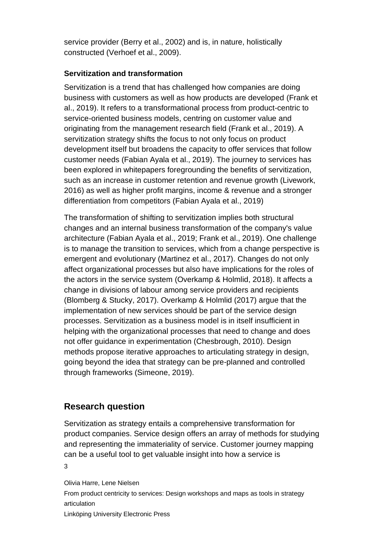service provider (Berry et al., 2002) and is, in nature, holistically constructed (Verhoef et al., 2009).

#### **Servitization and transformation**

 Servitization is a trend that has challenged how companies are doing business with customers as well as how products are developed (Frank et al., 2019). It refers to a transformational process from product-centric to service-oriented business models, centring on customer value and originating from the management research field (Frank et al., 2019). A servitization strategy shifts the focus to not only focus on product development itself but broadens the capacity to offer services that follow customer needs (Fabian Ayala et al., 2019). The journey to services has been explored in whitepapers foregrounding the benefits of servitization, such as an increase in customer retention and revenue growth (Livework, 2016) as well as higher profit margins, income & revenue and a stronger differentiation from competitors (Fabian Ayala et al., 2019)

 The transformation of shifting to servitization implies both structural changes and an internal business transformation of the company's value architecture (Fabian Ayala et al., 2019; Frank et al., 2019). One challenge is to manage the transition to services, which from a change perspective is emergent and evolutionary (Martinez et al., 2017). Changes do not only affect organizational processes but also have implications for the roles of the actors in the service system (Overkamp & Holmlid, 2018). It affects a change in divisions of labour among service providers and recipients (Blomberg & Stucky, 2017). Overkamp & Holmlid (2017) argue that the implementation of new services should be part of the service design processes. Servitization as a business model is in itself insufficient in helping with the organizational processes that need to change and does not offer guidance in experimentation (Chesbrough, 2010). Design methods propose iterative approaches to articulating strategy in design, going beyond the idea that strategy can be pre-planned and controlled through frameworks (Simeone, 2019).

# **Research question**

 product companies. Service design offers an array of methods for studying and representing the immateriality of service. Customer journey mapping can be a useful tool to get valuable insight into how a service is Servitization as strategy entails a comprehensive transformation for 3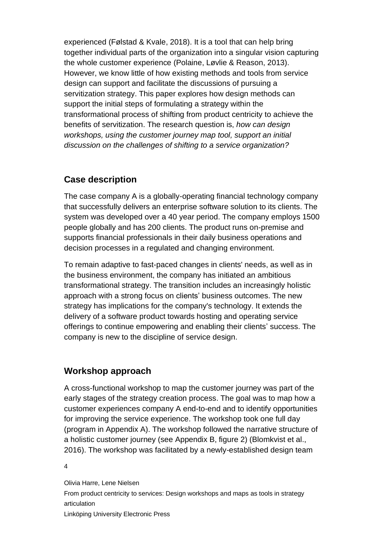experienced (Følstad & Kvale, 2018). It is a tool that can help bring together individual parts of the organization into a singular vision capturing the whole customer experience (Polaine, Løvlie & Reason, 2013). However, we know little of how existing methods and tools from service design can support and facilitate the discussions of pursuing a servitization strategy. This paper explores how design methods can support the initial steps of formulating a strategy within the transformational process of shifting from product centricity to achieve the benefits of servitization. The research question is, *how can design*  workshops, using the customer journey map tool, support an initial  *discussion on the challenges of shifting to a service organization?* 

# **Case description**

 The case company A is a globally-operating financial technology company that successfully delivers an enterprise software solution to its clients. The system was developed over a 40 year period. The company employs 1500 people globally and has 200 clients. The product runs on-premise and decision processes in a regulated and changing environment. supports financial professionals in their daily business operations and

 To remain adaptive to fast-paced changes in clients' needs, as well as in the business environment, the company has initiated an ambitious transformational strategy. The transition includes an increasingly holistic approach with a strong focus on clients' business outcomes. The new strategy has implications for the company's technology. It extends the delivery of a software product towards hosting and operating service offerings to continue empowering and enabling their clients' success. The company is new to the discipline of service design.

# **Workshop approach**

 A cross-functional workshop to map the customer journey was part of the early stages of the strategy creation process. The goal was to map how a customer experiences company A end-to-end and to identify opportunities for improving the service experience. The workshop took one full day (program in Appendix A). The workshop followed the narrative structure of a holistic customer journey (see Appendix B, figure 2) (Blomkvist et al., 2016). The workshop was facilitated by a newly-established design team

4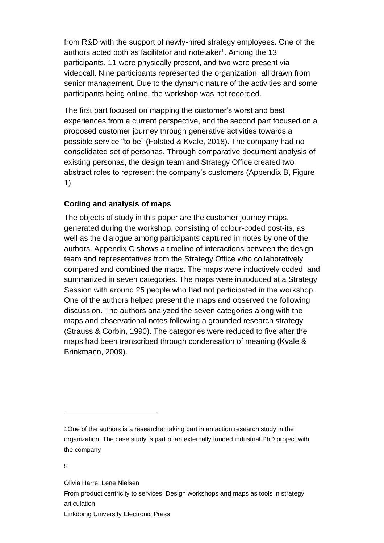from R&D with the support of newly-hired strategy employees. One of the authors acted both as facilitator and notetaker<sup>1</sup>. Among the 13 participants, 11 were physically present, and two were present via videocall. Nine participants represented the organization, all drawn from senior management. Due to the dynamic nature of the activities and some participants being online, the workshop was not recorded.

 The first part focused on mapping the customer's worst and best experiences from a current perspective, and the second part focused on a possible service "to be" (Følsted & Kvale, 2018). The company had no consolidated set of personas. Through comparative document analysis of existing personas, the design team and Strategy Office created two abstract roles to represent the company's customers (Appendix B, Figure proposed customer journey through generative activities towards a 1).

#### **Coding and analysis of maps**

 The objects of study in this paper are the customer journey maps, generated during the workshop, consisting of colour-coded post-its, as well as the dialogue among participants captured in notes by one of the authors. Appendix C shows a timeline of interactions between the design compared and combined the maps. The maps were inductively coded, and summarized in seven categories. The maps were introduced at a Strategy Session with around 25 people who had not participated in the workshop. One of the authors helped present the maps and observed the following discussion. The authors analyzed the seven categories along with the maps and observational notes following a grounded research strategy (Strauss & Corbin, 1990). The categories were reduced to five after the maps had been transcribed through condensation of meaning (Kvale & Brinkmann, 2009). team and representatives from the Strategy Office who collaboratively

Olivia Harre, Lene Nielsen

From product centricity to services: Design workshops and maps as tools in strategy articulation

<sup>1</sup>One of the authors is a researcher taking part in an action research study in the organization. The case study is part of an externally funded industrial PhD project with the company

<sup>5</sup>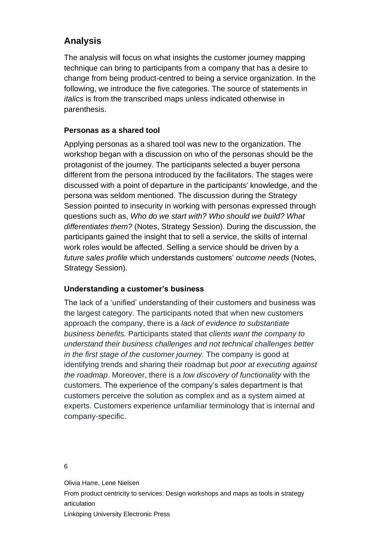# **Analysis**

 The analysis will focus on what insights the customer journey mapping technique can bring to participants from a company that has a desire to change from being product-centred to being a service organization. In the following, we introduce the five categories. The source of statements in *italics* is from the transcribed maps unless indicated otherwise in parenthesis.

### **Personas as a shared tool**

 Applying personas as a shared tool was new to the organization. The workshop began with a discussion on who of the personas should be the protagonist of the journey. The participants selected a buyer persona different from the persona introduced by the facilitators. The stages were discussed with a point of departure in the participants' knowledge, and the persona was seldom mentioned. The discussion during the Strategy Session pointed to insecurity in working with personas expressed through questions such as, *Who do we start with? Who should we build? What differentiates them?* (Notes, Strategy Session). During the discussion, the participants gained the insight that to sell a service, the skills of internal work roles would be affected. Selling a service should be driven by a *future sales profile* which understands customers' *outcome needs* (Notes, Strategy Session).

### **Understanding a customer's business**

 The lack of a 'unified' understanding of their customers and business was the largest category. The participants noted that when new customers approach the company, there is a *lack of evidence to substantiate business benefits.* Participants stated that *clients want the company to understand their business challenges and not technical challenges better in the first stage of the customer journey.* The company is good at identifying trends and sharing their roadmap but *poor at executing against the roadmap*. Moreover, there is a *low discovery of functionality* with the customers. The experience of the company's sales department is that customers perceive the solution as complex and as a system aimed at experts. Customers experience unfamiliar terminology that is internal and company-specific.

6

Olivia Harre, Lene Nielsen

From product centricity to services: Design workshops and maps as tools in strategy articulation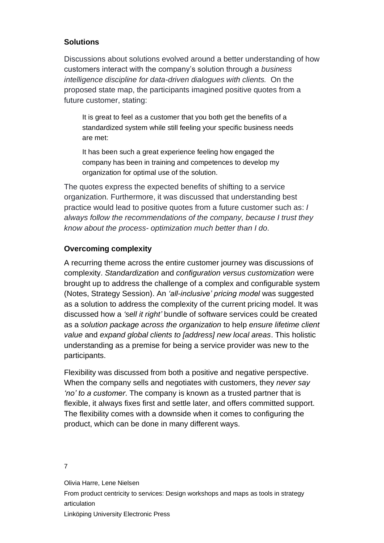#### **Solutions**

 Discussions about solutions evolved around a better understanding of how customers interact with the company's solution through a *business intelligence discipline for data-driven dialogues with clients.* On the proposed state map, the participants imagined positive quotes from a future customer, stating:

 It is great to feel as a customer that you both get the benefits of a standardized system while still feeling your specific business needs are met:

 It has been such a great experience feeling how engaged the company has been in training and competences to develop my organization for optimal use of the solution.

 The quotes express the expected benefits of shifting to a service organization*.* Furthermore, it was discussed that understanding best practice would lead to positive quotes from a future customer such as: *I always follow the recommendations of the company, because I trust they know about the process- optimization much better than I do.* 

### **Overcoming complexity**

 A recurring theme across the entire customer journey was discussions of brought up to address the challenge of a complex and configurable system  (Notes, Strategy Session). An *'all-inclusive' pricing model* was suggested as a solution to address the complexity of the current pricing model. It was discussed how a *'sell it right'* bundle of software services could be created  as a *solution package across the organization* to help *ensure lifetime client value* and *expand global clients to [address] new local areas*. This holistic understanding as a premise for being a service provider was new to the complexity. *Standardization* and *configuration versus customization* were participants.

 Flexibility was discussed from both a positive and negative perspective. When the company sells and negotiates with customers, they *never say 'no' to a customer*. The company is known as a trusted partner that is flexible, it always fixes first and settle later, and offers committed support. The flexibility comes with a downside when it comes to configuring the product, which can be done in many different ways.

7

Olivia Harre, Lene Nielsen

From product centricity to services: Design workshops and maps as tools in strategy articulation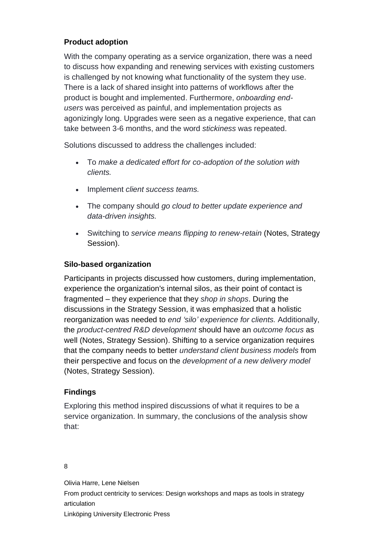## **Product adoption**

 With the company operating as a service organization, there was a need to discuss how expanding and renewing services with existing customers is challenged by not knowing what functionality of the system they use. There is a lack of shared insight into patterns of workflows after the product is bought and implemented. Furthermore, *onboarding end-* agonizingly long. Upgrades were seen as a negative experience, that can take between 3-6 months, and the word *stickiness* was repeated. *users* was perceived as painful, and implementation projects as

Solutions discussed to address the challenges included:

- To *make a dedicated effort for co-adoption of the solution with clients.*
- Implement *client success teams.*
- The company should *go cloud to better update experience and data-driven insights.*
- Switching to *service means flipping to renew-retain* (Notes, Strategy Session).

### **Silo-based organization**

 Participants in projects discussed how customers, during implementation, experience the organization's internal silos, as their point of contact is  fragmented – they experience that they *shop in shops*. During the discussions in the Strategy Session, it was emphasized that a holistic  the *product-centred R&D development* should have an *outcome focus* as well (Notes, Strategy Session). Shifting to a service organization requires that the company needs to better *understand client business models* from their perspective and focus on the *development of a new delivery model*  reorganization was needed to *end 'silo' experience for clients.* Additionally, (Notes, Strategy Session).

#### **Findings**

 Exploring this method inspired discussions of what it requires to be a service organization. In summary, the conclusions of the analysis show that:

#### 8

Olivia Harre, Lene Nielsen

From product centricity to services: Design workshops and maps as tools in strategy articulation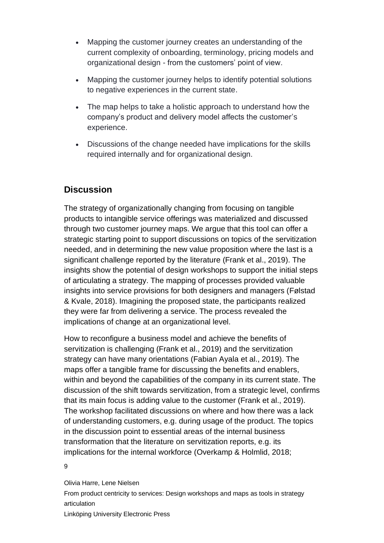- • Mapping the customer journey creates an understanding of the current complexity of onboarding, terminology, pricing models and organizational design - from the customers' point of view.
- • Mapping the customer journey helps to identify potential solutions to negative experiences in the current state.
- • The map helps to take a holistic approach to understand how the company's product and delivery model affects the customer's experience.
- • Discussions of the change needed have implications for the skills required internally and for organizational design.

# **Discussion**

 The strategy of organizationally changing from focusing on tangible products to intangible service offerings was materialized and discussed through two customer journey maps. We argue that this tool can offer a strategic starting point to support discussions on topics of the servitization needed, and in determining the new value proposition where the last is a significant challenge reported by the literature (Frank et al., 2019). The insights show the potential of design workshops to support the initial steps of articulating a strategy. The mapping of processes provided valuable insights into service provisions for both designers and managers (Følstad & Kvale, 2018). Imagining the proposed state, the participants realized they were far from delivering a service. The process revealed the implications of change at an organizational level.

 How to reconfigure a business model and achieve the benefits of servitization is challenging (Frank et al., 2019) and the servitization strategy can have many orientations (Fabian Ayala et al., 2019). The maps offer a tangible frame for discussing the benefits and enablers, within and beyond the capabilities of the company in its current state. The discussion of the shift towards servitization, from a strategic level, confirms that its main focus is adding value to the customer (Frank et al., 2019). The workshop facilitated discussions on where and how there was a lack of understanding customers, e.g. during usage of the product. The topics in the discussion point to essential areas of the internal business transformation that the literature on servitization reports, e.g. its implications for the internal workforce (Overkamp & Holmlid, 2018;

9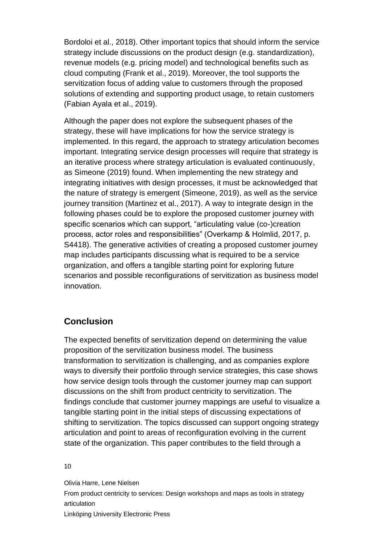Bordoloi et al., 2018). Other important topics that should inform the service strategy include discussions on the product design (e.g. standardization), revenue models (e.g. pricing model) and technological benefits such as cloud computing (Frank et al., 2019). Moreover, the tool supports the servitization focus of adding value to customers through the proposed solutions of extending and supporting product usage, to retain customers (Fabian Ayala et al., 2019).

 Although the paper does not explore the subsequent phases of the strategy, these will have implications for how the service strategy is implemented. In this regard, the approach to strategy articulation becomes important. Integrating service design processes will require that strategy is an iterative process where strategy articulation is evaluated continuously, as Simeone (2019) found. When implementing the new strategy and integrating initiatives with design processes, it must be acknowledged that the nature of strategy is emergent (Simeone, 2019), as well as the service journey transition (Martinez et al., 2017). A way to integrate design in the following phases could be to explore the proposed customer journey with specific scenarios which can support, "articulating value (co-)creation process, actor roles and responsibilities" (Overkamp & Holmlid, 2017, p. S4418). The generative activities of creating a proposed customer journey map includes participants discussing what is required to be a service organization, and offers a tangible starting point for exploring future scenarios and possible reconfigurations of servitization as business model innovation.

## **Conclusion**

 The expected benefits of servitization depend on determining the value proposition of the servitization business model. The business transformation to servitization is challenging, and as companies explore ways to diversify their portfolio through service strategies, this case shows how service design tools through the customer journey map can support findings conclude that customer journey mappings are useful to visualize a tangible starting point in the initial steps of discussing expectations of shifting to servitization. The topics discussed can support ongoing strategy articulation and point to areas of reconfiguration evolving in the current state of the organization. This paper contributes to the field through a discussions on the shift from product centricity to servitization. The

10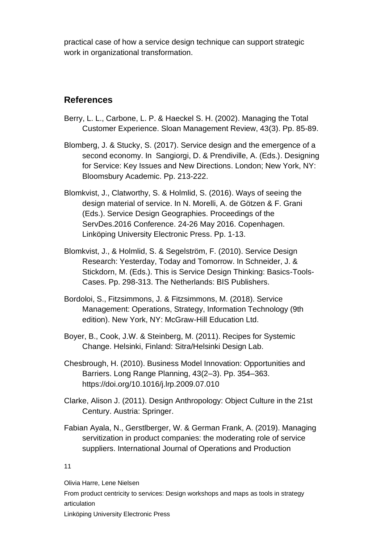practical case of how a service design technique can support strategic work in organizational transformation.

## **References**

- Berry, L. L., Carbone, L. P. & Haeckel S. H. (2002). Managing the Total Customer Experience. Sloan Management Review, 43(3). Pp. 85-89.
- Blomberg, J. & Stucky, S. (2017). Service design and the emergence of a second economy. In Sangiorgi, D. & Prendiville, A. (Eds.). Designing for Service: Key Issues and New Directions. London; New York, NY: Bloomsbury Academic. Pp. 213-222.
- Blomkvist, J., Clatworthy, S. & Holmlid, S. (2016). Ways of seeing the design material of service. In N. Morelli, A. de Götzen & F. Grani (Eds.). Service Design Geographies. Proceedings of the ServDes.2016 Conference. 24-26 May 2016. Copenhagen. Linköping University Electronic Press. Pp. 1-13.
- Blomkvist, J., & Holmlid, S. & Segelström, F. (2010). Service Design Research: Yesterday, Today and Tomorrow. In Schneider, J. & Stickdorn, M. (Eds.). This is Service Design Thinking: Basics-Tools-Cases. Pp. 298-313. The Netherlands: BIS Publishers.
- Bordoloi, S., Fitzsimmons, J. & Fitzsimmons, M. (2018). Service Management: Operations, Strategy, Information Technology (9th edition). New York, NY: McGraw-Hill Education Ltd.
- Boyer, B., Cook, J.W. & Steinberg, M. (2011). Recipes for Systemic Change. Helsinki, Finland: Sitra/Helsinki Design Lab.
- Chesbrough, H. (2010). Business Model Innovation: Opportunities and Barriers. Long Range Planning, 43(2–3). Pp. 354–363. <https://doi.org/10.1016/j.lrp.2009.07.010>
- Clarke, Alison J. (2011). Design Anthropology: Object Culture in the 21st Century. Austria: Springer.
- Fabian Ayala, N., Gerstlberger, W. & German Frank, A. (2019). Managing servitization in product companies: the moderating role of service suppliers. International Journal of Operations and Production

#### 11

Olivia Harre, Lene Nielsen

From product centricity to services: Design workshops and maps as tools in strategy articulation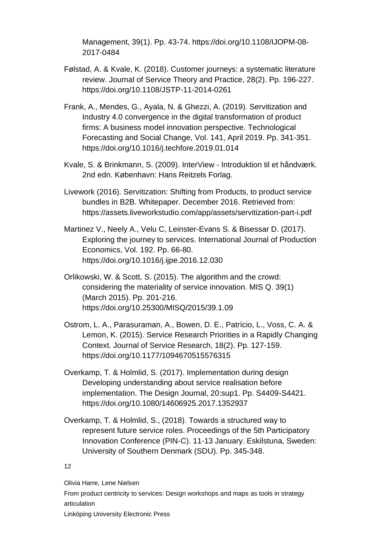Management, 39(1). Pp. 43-74. [https://doi.org/10.1108/IJOPM-08-](https://doi.org/10.1108/IJOPM-08-2017-0484) [2017-0484](https://doi.org/10.1108/IJOPM-08-2017-0484)

- Følstad, A. & Kvale, K. (2018). Customer journeys: a systematic literature review. Journal of Service Theory and Practice, 28(2). Pp. 196-227. <https://doi.org/10.1108/JSTP-11-2014-0261>
- Frank, A., Mendes, G., Ayala, N. & Ghezzi, A. (2019). Servitization and Industry 4.0 convergence in the digital transformation of product firms: A business model innovation perspective. Technological Forecasting and Social Change, Vol. 141, April 2019. Pp. 341-351. <https://doi.org/10.1016/j.techfore.2019.01.014>
- Kvale, S. & Brinkmann, S. (2009). InterView Introduktion til et håndværk. 2nd edn. København: Hans Reitzels Forlag.
- Livework (2016). Servitization: Shifting from Products, to product service bundles in B2B. Whitepaper. December 2016. Retrieved from: <https://assets.liveworkstudio.com/app/assets/servitization-part-i.pdf>
- Martinez V., Neely A., Velu C, Leinster-Evans S. & Bisessar D. (2017). Exploring the journey to services. International Journal of Production Economics, Vol. 192. Pp. 66-80. <https://doi.org/10.1016/j.ijpe.2016.12.030>
- Orlikowski, W. & Scott, S. (2015). The algorithm and the crowd: considering the materiality of service innovation. MIS Q. 39(1) (March 2015). Pp. 201-216. <https://doi.org/10.25300/MISQ/2015/39.1.09>
- Ostrom, L. A., Parasuraman, A., Bowen, D. E., Patrício, L., Voss, C. A. & Lemon, K. (2015). Service Research Priorities in a Rapidly Changing Context. Journal of Service Research, 18(2). Pp. 127-159. <https://doi.org/10.1177/1094670515576315>
- Overkamp, T. & Holmlid, S. (2017). Implementation during design Developing understanding about service realisation before implementation. The Design Journal, 20:sup1. Pp. S4409-S4421. <https://doi.org/10.1080/14606925.2017.1352937>
- Overkamp, T. & Holmlid, S., (2018). Towards a structured way to represent future service roles. Proceedings of the 5th Participatory Innovation Conference (PIN-C). 11-13 January. Eskilstuna, Sweden: University of Southern Denmark (SDU). Pp. 345-348.

12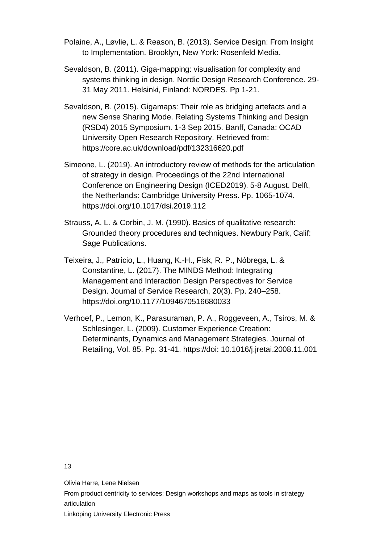- Polaine, A., Løvlie, L. & Reason, B. (2013). Service Design: From Insight to Implementation. Brooklyn, New York: Rosenfeld Media.
- Sevaldson, B. (2011). Giga-mapping: visualisation for complexity and systems thinking in design. Nordic Design Research Conference. 29- 31 May 2011. Helsinki, Finland: NORDES. Pp 1-21.
- Sevaldson, B. (2015). Gigamaps: Their role as bridging artefacts and a new Sense Sharing Mode. Relating Systems Thinking and Design (RSD4) 2015 Symposium. 1-3 Sep 2015. Banff, Canada: OCAD University Open Research Repository. Retrieved from: <https://core.ac.uk/download/pdf/132316620.pdf>
- Simeone, L. (2019). An introductory review of methods for the articulation of strategy in design. Proceedings of the 22nd International Conference on Engineering Design (ICED2019). 5-8 August. Delft, the Netherlands: Cambridge University Press. Pp. 1065-1074. <https://doi.org/10.1017/dsi.2019.112>
- Strauss, A. L. & Corbin, J. M. (1990). Basics of qualitative research: Grounded theory procedures and techniques. Newbury Park, Calif: Sage Publications.
- Teixeira, J., Patrício, L., Huang, K.-H., Fisk, R. P., Nóbrega, L. & Constantine, L. (2017). The MINDS Method: Integrating Management and Interaction Design Perspectives for Service Design. Journal of Service Research, 20(3). Pp. 240–258. <https://doi.org/10.1177/1094670516680033>
- Verhoef, P., Lemon, K., Parasuraman, P. A., Roggeveen, A., Tsiros, M. & Schlesinger, L. (2009). Customer Experience Creation: Determinants, Dynamics and Management Strategies. Journal of Retailing, Vol. 85. Pp. 31-41. [https://doi: 10.1016/j.jretai.2008.11.001](https://doi:%2010.1016/j.jretai.2008.11.001)

13

Olivia Harre, Lene Nielsen

From product centricity to services: Design workshops and maps as tools in strategy articulation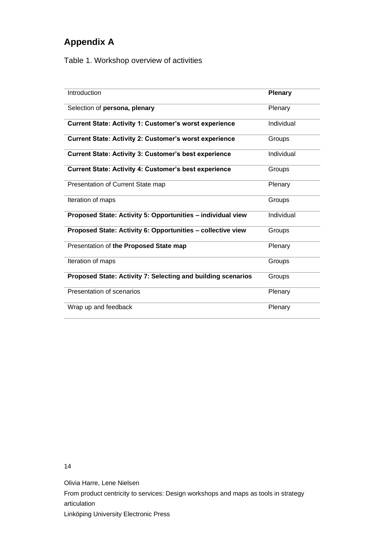# **Appendix A**

Table 1. Workshop overview of activities

| Introduction                                                  | <b>Plenary</b> |
|---------------------------------------------------------------|----------------|
| Selection of persona, plenary                                 | Plenary        |
| <b>Current State: Activity 1: Customer's worst experience</b> | Individual     |
| <b>Current State: Activity 2: Customer's worst experience</b> | Groups         |
| <b>Current State: Activity 3: Customer's best experience</b>  | Individual     |
| <b>Current State: Activity 4: Customer's best experience</b>  | Groups         |
| Presentation of Current State map                             | Plenary        |
| Iteration of maps                                             | Groups         |
| Proposed State: Activity 5: Opportunities - individual view   | Individual     |
| Proposed State: Activity 6: Opportunities - collective view   | Groups         |
| Presentation of the Proposed State map                        | Plenary        |
| Iteration of maps                                             | Groups         |
| Proposed State: Activity 7: Selecting and building scenarios  | Groups         |
| Presentation of scenarios                                     | Plenary        |
| Wrap up and feedback                                          | Plenary        |

14

Olivia Harre, Lene Nielsen

From product centricity to services: Design workshops and maps as tools in strategy articulation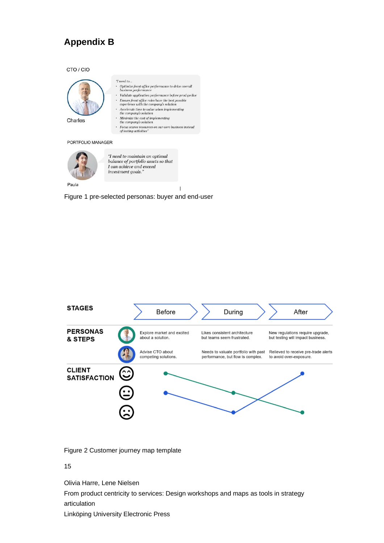# **Appendix B**

#### CTO / CIO



 $^a\! I$  need to  $\! ...$ 

- Optimize front office performance to drive overall business performance
- Validate application performance before prod go live
- $\label{thm:1} \textit{Validate application performance before prod} \{ \textit{p} \} \textit{Ensure from offer} \textit{be best possible experience with the company's solution} \\ \textit{excelerate time to value when implementing the company's solution}$  $\ddot{\phantom{a}}$
- 
- 
- the company's solution<br>Minimize the cost of implementing<br>the company's solution
- $\label{eq:2} \begin{array}{c} \textit{Focus scarce resources on our core business instead} \\ \textit{of testing activities''} \end{array}$

#### PORTFOLIO MANAGER



Figure 1 pre-selected personas: buyer and end-user



Figure 2 Customer journey map template

#### 15

Olivia Harre, Lene Nielsen

From product centricity to services: Design workshops and maps as tools in strategy articulation